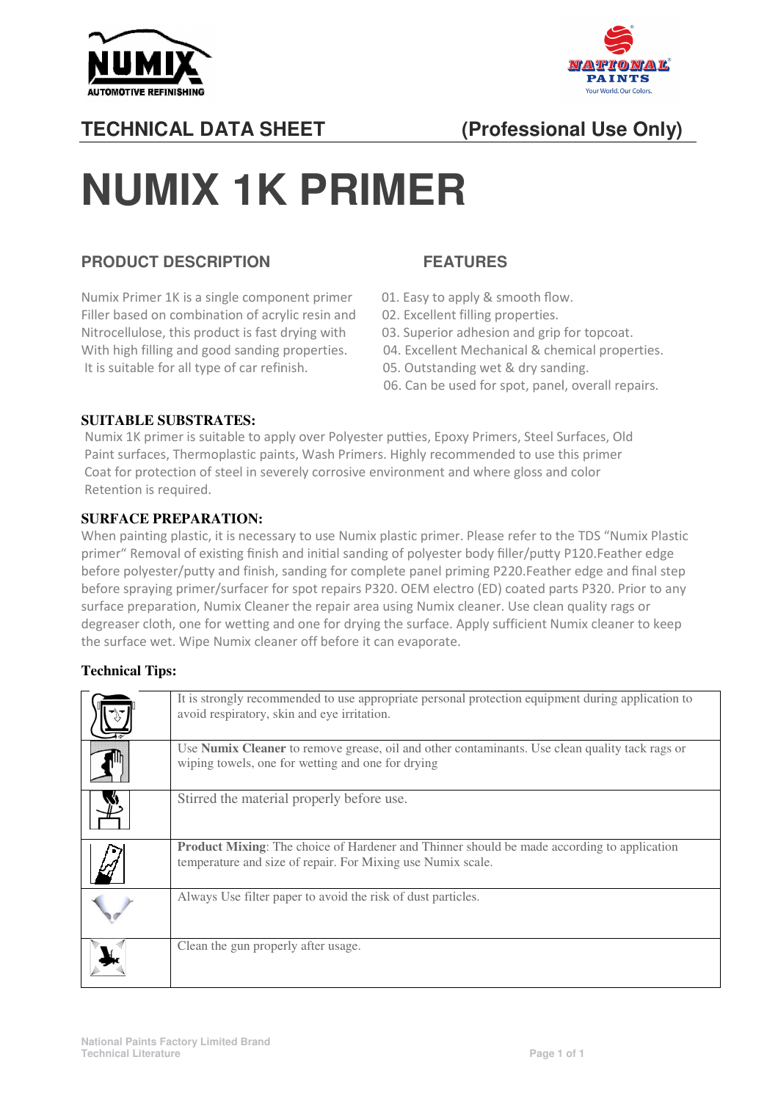



## **TECHNICAL DATA SHEET**

## **SHEET (Professional Use Only)**

# **NUMIX 1K PRIMER**

#### **PRODUCT DESCRIPTION**

Numix Primer 1K is a single component primer 01. Easy to apply & smooth flow. Filler based on combination of acrylic resin and Nitrocellulose, this product is fast drying with With high filling and good sanding properties. It is suitable for all type of car refinish.

### **FEATURES**

- 
- 02. Excellent filling properties.
- t is fast drying with 03. Superior adhesion and grip for topcoat.
	- 04. Excellent Mechanical & chemical properties.
	- 05. Outstanding wet & dry sanding.
- 06. Can be used for spot, panel, panel, overall repairs.

#### **SUITABLE SUBSTRATES:**

Numix 1K primer is suitable to apply over Polyester putties, Epoxy Primers, Steel Surfaces, Old Paint surfaces, Thermoplastic paints, Wash Primers. Highly recommended to use this primer Coat for protection of steel in severely corrosive environment and where gloss and color Retention is required.

#### **SURFACE PREPARATION:**

When painting plastic, it is necessary to use Numix plastic primer. Please refer to the TDS "Numix Plastic primer" Removal of existing finish and initial sanding of polyester body filler/putty P120.Feather edge before polyester/putty and finish, sanding for complete panel priming P220.Feather edge and final step before spraying primer/surfacer for spot repairs P320. OEM electro (ED) coated parts P320. Prior to any surface preparation, Numix Cleaner the repair area using Numix cleaner. Use clean quality rags or degreaser cloth, one for wetting and one for drying the surface. Apply sufficient Numix cleaner to keep the surface wet. Wipe Numix cleaner off before it can evaporate.

#### **Technical Tips:**

| It is strongly recommended to use appropriate personal protection equipment during application to<br>avoid respiratory, skin and eye irritation.                 |
|------------------------------------------------------------------------------------------------------------------------------------------------------------------|
| Use <b>Numix Cleaner</b> to remove grease, oil and other contaminants. Use clean quality tack rags or<br>wiping towels, one for wetting and one for drying       |
| Stirred the material properly before use.                                                                                                                        |
| <b>Product Mixing:</b> The choice of Hardener and Thinner should be made according to application<br>temperature and size of repair. For Mixing use Numix scale. |
| Always Use filter paper to avoid the risk of dust particles.                                                                                                     |
| Clean the gun properly after usage.                                                                                                                              |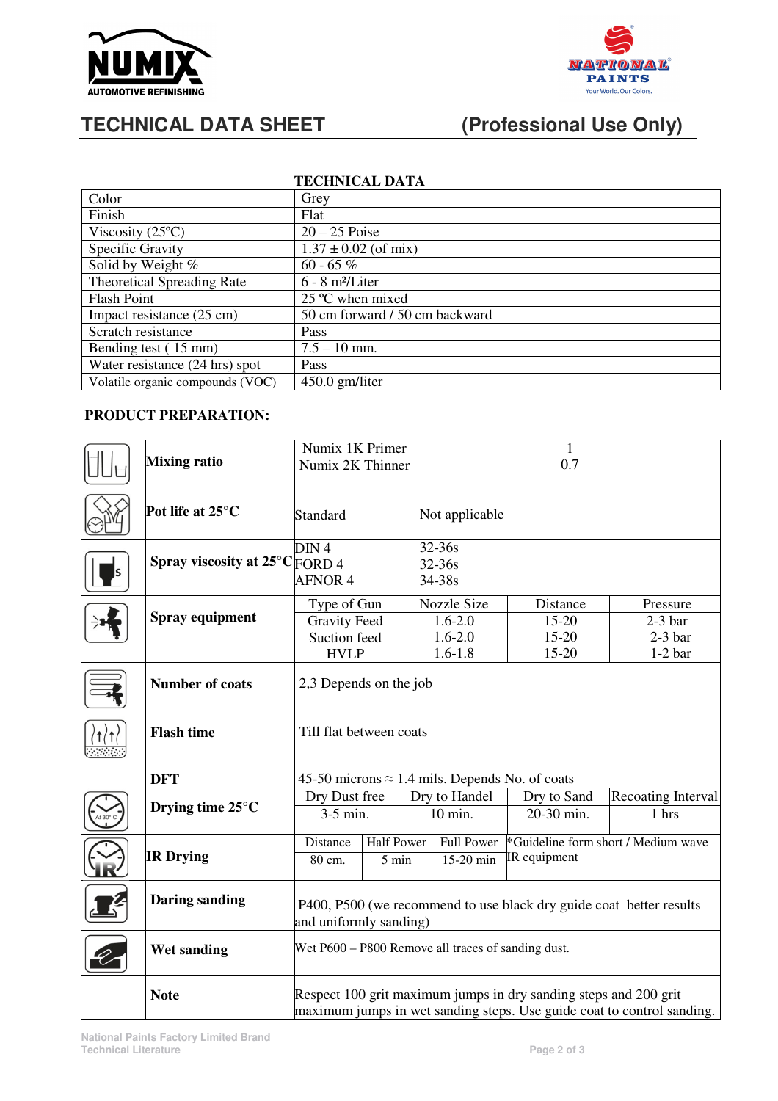



## **TECHNICAL DATA SHEET (Professional Use Only)**

| <b>TECHNICAL DATA</b>             |                                |  |  |  |
|-----------------------------------|--------------------------------|--|--|--|
| Color                             | Grey                           |  |  |  |
| Finish                            | Flat                           |  |  |  |
| Viscosity $(25^{\circ}C)$         | $20 - 25$ Poise                |  |  |  |
| Specific Gravity                  | $1.37 \pm 0.02$ (of mix)       |  |  |  |
| Solid by Weight %                 | 60 - 65 %                      |  |  |  |
| <b>Theoretical Spreading Rate</b> | $6 - 8$ m <sup>2</sup> /Liter  |  |  |  |
| <b>Flash Point</b>                | 25 °C when mixed               |  |  |  |
| Impact resistance (25 cm)         | 50 cm forward / 50 cm backward |  |  |  |
| Scratch resistance                | Pass                           |  |  |  |
| Bending test (15 mm)              | $7.5 - 10$ mm.                 |  |  |  |
| Water resistance (24 hrs) spot    | Pass                           |  |  |  |
| Volatile organic compounds (VOC)  | $450.0$ gm/liter               |  |  |  |

#### **PRODUCT PREPARATION:**

|  | <b>Mixing ratio</b>                      | Numix 1K Primer<br>Numix 2K Thinner                                                                                                        |       |                   | $\mathbf{1}$<br>0.7                                             |                                         |                                                 |
|--|------------------------------------------|--------------------------------------------------------------------------------------------------------------------------------------------|-------|-------------------|-----------------------------------------------------------------|-----------------------------------------|-------------------------------------------------|
|  | Pot life at 25°C                         | Standard                                                                                                                                   |       |                   | Not applicable                                                  |                                         |                                                 |
|  | Spray viscosity at $25^{\circ}$ C FORD 4 | DIN <sub>4</sub><br><b>AFNOR 4</b>                                                                                                         |       |                   | 32-36s<br>32-36s<br>34-38s                                      |                                         |                                                 |
|  | Spray equipment                          | Type of Gun<br><b>Gravity Feed</b><br>Suction feed<br><b>HVLP</b>                                                                          |       |                   | <b>Nozzle Size</b><br>$1.6 - 2.0$<br>$1.6 - 2.0$<br>$1.6 - 1.8$ | Distance<br>15-20<br>$15 - 20$<br>15-20 | Pressure<br>$2-3$ bar<br>$2-3$ bar<br>$1-2$ bar |
|  | <b>Number of coats</b>                   | 2,3 Depends on the job                                                                                                                     |       |                   |                                                                 |                                         |                                                 |
|  | <b>Flash time</b>                        | Till flat between coats                                                                                                                    |       |                   |                                                                 |                                         |                                                 |
|  | <b>DFT</b>                               | 45-50 microns $\approx$ 1.4 mils. Depends No. of coats                                                                                     |       |                   |                                                                 |                                         |                                                 |
|  | Drying time 25°C                         | Dry Dust free                                                                                                                              |       | Dry to Handel     |                                                                 | Dry to Sand                             | Recoating Interval                              |
|  |                                          | $3-5$ min.                                                                                                                                 |       | 10 min.           |                                                                 | 20-30 min.                              | 1 hrs                                           |
|  | <b>IR Drying</b>                         | <b>Half Power</b><br>Distance                                                                                                              |       | <b>Full Power</b> |                                                                 | *Guideline form short / Medium wave     |                                                 |
|  |                                          | 80 cm.                                                                                                                                     | 5 min |                   | 15-20 min                                                       | IR equipment                            |                                                 |
|  | <b>Daring sanding</b>                    | P400, P500 (we recommend to use black dry guide coat better results<br>and uniformly sanding)                                              |       |                   |                                                                 |                                         |                                                 |
|  | Wet sanding                              | Wet P600 - P800 Remove all traces of sanding dust.                                                                                         |       |                   |                                                                 |                                         |                                                 |
|  | <b>Note</b>                              | Respect 100 grit maximum jumps in dry sanding steps and 200 grit<br>maximum jumps in wet sanding steps. Use guide coat to control sanding. |       |                   |                                                                 |                                         |                                                 |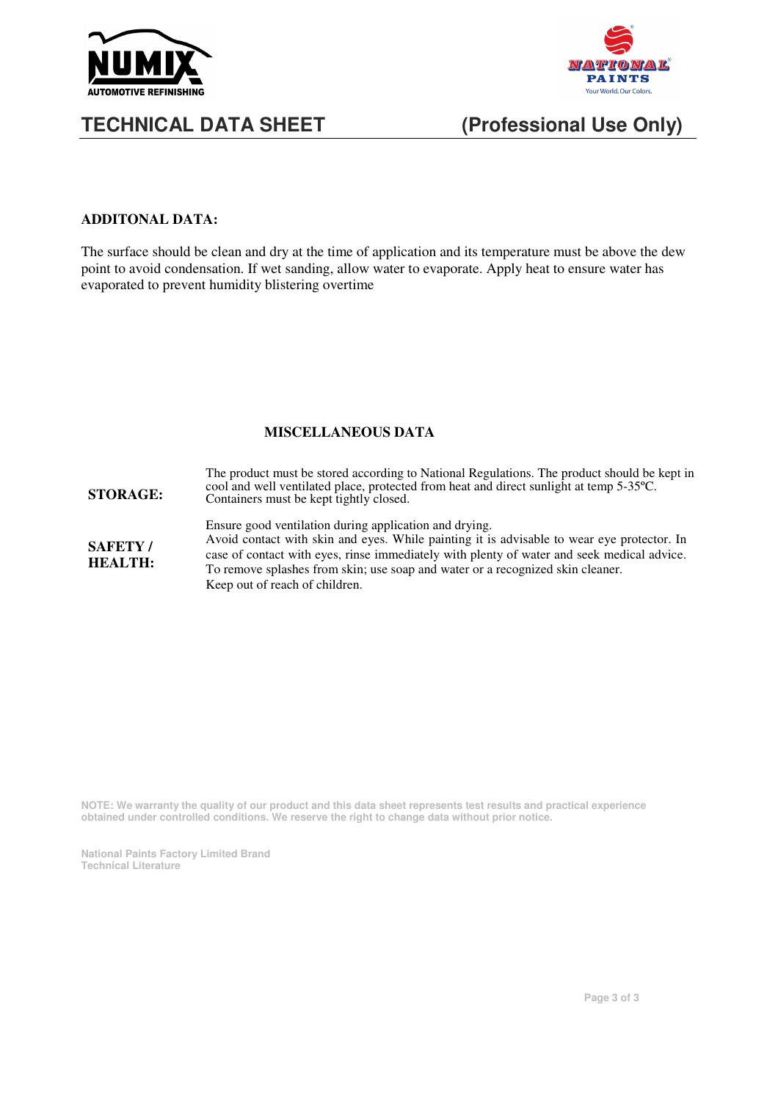



## **TECHNICAL DATA SHEET (Professional Use Only)**

#### **ADDITONAL DATA:**

The surface should be clean and dry at the time of application and its temperature must be above the dew point to avoid condensation. If wet sanding, allow water to evaporate. Apply heat to ensure water has evaporated to prevent humidity blistering overtime

#### **MISCELLANEOUS DATA**

| <b>STORAGE:</b>                  | The product must be stored according to National Regulations. The product should be kept in<br>cool and well ventilated place, protected from heat and direct sunlight at temp 5-35 °C.<br>Containers must be kept tightly closed.                                                                                                                                     |
|----------------------------------|------------------------------------------------------------------------------------------------------------------------------------------------------------------------------------------------------------------------------------------------------------------------------------------------------------------------------------------------------------------------|
| <b>SAFETY/</b><br><b>HEALTH:</b> | Ensure good ventilation during application and drying.<br>Avoid contact with skin and eyes. While painting it is advisable to wear eye protector. In<br>case of contact with eyes, rinse immediately with plenty of water and seek medical advice.<br>To remove splashes from skin; use soap and water or a recognized skin cleaner.<br>Keep out of reach of children. |

**NOTE: We warranty the quality of our product and this data sheet represents test results and practical experience obtained under controlled conditions. We reserve the right to change data without prior notice.** 

**National Paints Factory Limited Brand Technical Literature**